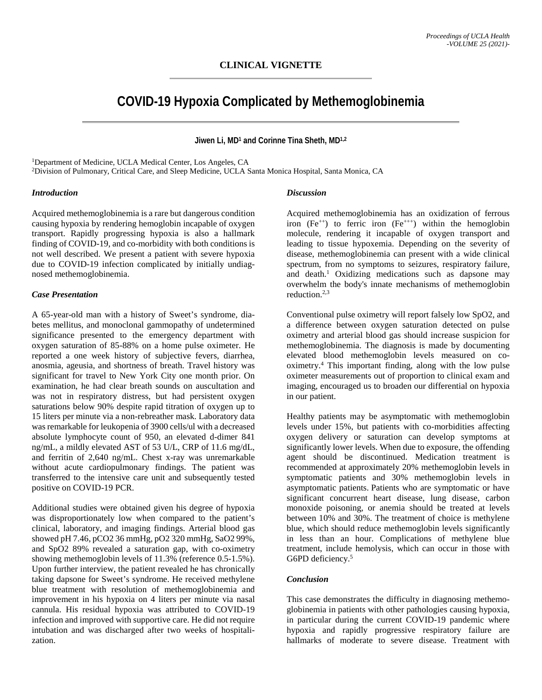# **COVID-19 Hypoxia Complicated by Methemoglobinemia**

## **Jiwen Li, MD1 and Corinne Tina Sheth, MD1,2**

<sup>1</sup>Department of Medicine, UCLA Medical Center, Los Angeles, CA

2Division of Pulmonary, Critical Care, and Sleep Medicine, UCLA Santa Monica Hospital, Santa Monica, CA

#### *Introduction*

Acquired methemoglobinemia is a rare but dangerous condition causing hypoxia by rendering hemoglobin incapable of oxygen transport. Rapidly progressing hypoxia is also a hallmark finding of COVID-19, and co-morbidity with both conditions is not well described. We present a patient with severe hypoxia due to COVID-19 infection complicated by initially undiagnosed methemoglobinemia.

### *Case Presentation*

A 65-year-old man with a history of Sweet's syndrome, diabetes mellitus, and monoclonal gammopathy of undetermined significance presented to the emergency department with oxygen saturation of 85-88% on a home pulse oximeter. He reported a one week history of subjective fevers, diarrhea, anosmia, ageusia, and shortness of breath. Travel history was significant for travel to New York City one month prior. On examination, he had clear breath sounds on auscultation and was not in respiratory distress, but had persistent oxygen saturations below 90% despite rapid titration of oxygen up to 15 liters per minute via a non-rebreather mask. Laboratory data was remarkable for leukopenia of 3900 cells/ul with a decreased absolute lymphocyte count of 950, an elevated d-dimer 841 ng/mL, a mildly elevated AST of 53 U/L, CRP of 11.6 mg/dL, and ferritin of 2,640 ng/mL. Chest x-ray was unremarkable without acute cardiopulmonary findings. The patient was transferred to the intensive care unit and subsequently tested positive on COVID-19 PCR.

Additional studies were obtained given his degree of hypoxia was disproportionately low when compared to the patient's clinical, laboratory, and imaging findings. Arterial blood gas showed pH 7.46, pCO2 36 mmHg, pO2 320 mmHg, SaO2 99%, and SpO2 89% revealed a saturation gap, with co-oximetry showing methemoglobin levels of 11.3% (reference 0.5-1.5%). Upon further interview, the patient revealed he has chronically taking dapsone for Sweet's syndrome. He received methylene blue treatment with resolution of methemoglobinemia and improvement in his hypoxia on 4 liters per minute via nasal cannula. His residual hypoxia was attributed to COVID-19 infection and improved with supportive care. He did not require intubation and was discharged after two weeks of hospitalization.

#### *Discussion*

Acquired methemoglobinemia has an oxidization of ferrous iron  $(Fe^{++})$  to ferric iron  $(Fe^{+++})$  within the hemoglobin molecule, rendering it incapable of oxygen transport and leading to tissue hypoxemia. Depending on the severity of disease, methemoglobinemia can present with a wide clinical spectrum, from no symptoms to seizures, respiratory failure, and death.1 Oxidizing medications such as dapsone may overwhelm the body's innate mechanisms of methemoglobin reduction. 2,3

Conventional pulse oximetry will report falsely low SpO2, and a difference between oxygen saturation detected on pulse oximetry and arterial blood gas should increase suspicion for methemoglobinemia. The diagnosis is made by documenting elevated blood methemoglobin levels measured on cooximetry. <sup>4</sup> This important finding, along with the low pulse oximeter measurements out of proportion to clinical exam and imaging, encouraged us to broaden our differential on hypoxia in our patient.

Healthy patients may be asymptomatic with methemoglobin levels under 15%, but patients with co-morbidities affecting oxygen delivery or saturation can develop symptoms at significantly lower levels. When due to exposure, the offending agent should be discontinued. Medication treatment is recommended at approximately 20% methemoglobin levels in symptomatic patients and 30% methemoglobin levels in asymptomatic patients. Patients who are symptomatic or have significant concurrent heart disease, lung disease, carbon monoxide poisoning, or anemia should be treated at levels between 10% and 30%. The treatment of choice is methylene blue, which should reduce methemoglobin levels significantly in less than an hour. Complications of methylene blue treatment, include hemolysis, which can occur in those with G6PD deficiency. 5

## *Conclusion*

This case demonstrates the difficulty in diagnosing methemoglobinemia in patients with other pathologies causing hypoxia, in particular during the current COVID-19 pandemic where hypoxia and rapidly progressive respiratory failure are hallmarks of moderate to severe disease. Treatment with